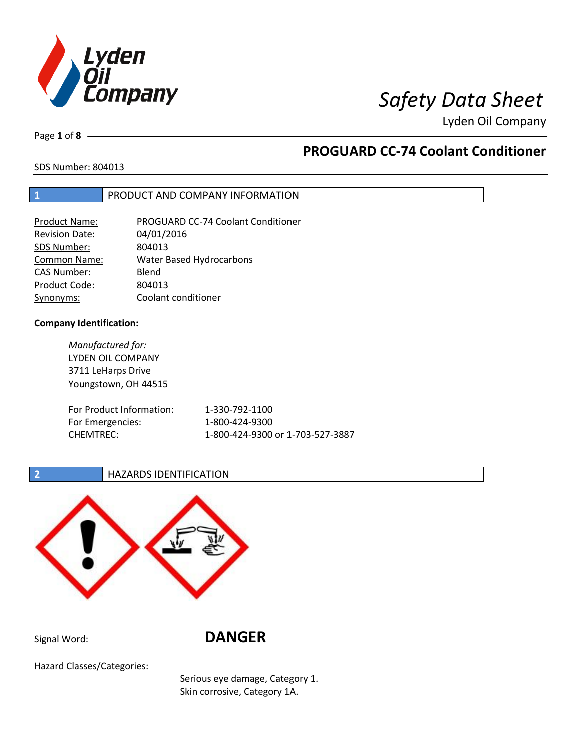

Lyden Oil Company

Page **1** of **8**

## **PROGUARD CC-74 Coolant Conditioner**

SDS Number: 804013

## **1** PRODUCT AND COMPANY INFORMATION

| <b>Product Name:</b>  | PROGUARD CC-74 Coolant Conditioner |
|-----------------------|------------------------------------|
| <b>Revision Date:</b> | 04/01/2016                         |
| SDS Number:           | 804013                             |
| <b>Common Name:</b>   | <b>Water Based Hydrocarbons</b>    |
| <b>CAS Number:</b>    | Blend                              |
| Product Code:         | 804013                             |
| Synonyms:             | Coolant conditioner                |

## **Company Identification:**

*Manufactured for:* LYDEN OIL COMPANY 3711 LeHarps Drive Youngstown, OH 44515 For Product Information: 1-330-792-1100 For Emergencies: 1-800-424-9300 CHEMTREC: 1-800-424-9300 or 1-703-527-3887

## **2 HAZARDS IDENTIFICATION**



Signal Word: **DANGER**

Hazard Classes/Categories:

Serious eye damage, Category 1. Skin corrosive, Category 1A.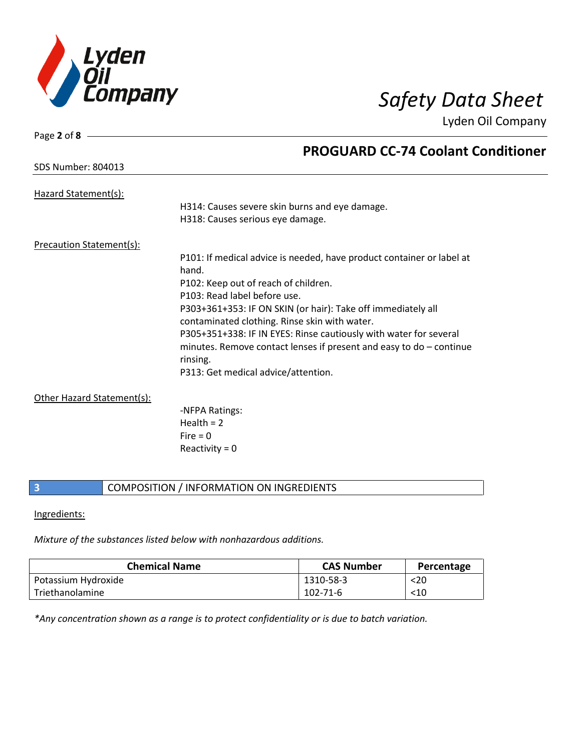

Lyden Oil Company

| Page 2 of 8 $-$           |                                                                       |
|---------------------------|-----------------------------------------------------------------------|
|                           | <b>PROGUARD CC-74 Coolant Conditioner</b>                             |
| <b>SDS Number: 804013</b> |                                                                       |
| Hazard Statement(s):      |                                                                       |
|                           | H314: Causes severe skin burns and eye damage.                        |
|                           | H318: Causes serious eye damage.                                      |
| Precaution Statement(s):  |                                                                       |
|                           | P101: If medical advice is needed, have product container or label at |
|                           | hand.                                                                 |
|                           | P102: Keep out of reach of children.                                  |
|                           | P103: Read label before use.                                          |
|                           | P303+361+353: IF ON SKIN (or hair): Take off immediately all          |
|                           | contaminated clothing. Rinse skin with water.                         |
|                           | P305+351+338: IF IN EYES: Rinse cautiously with water for several     |
|                           | minutes. Remove contact lenses if present and easy to $do$ – continue |
|                           | rinsing.                                                              |
|                           | P313: Get medical advice/attention.                                   |

Other Hazard Statement(s):

-NFPA Ratings:  $Health = 2$  $Fire = 0$ Reactivity  $= 0$ 

## **3** COMPOSITION / INFORMATION ON INGREDIENTS

## Ingredients:

*Mixture of the substances listed below with nonhazardous additions.*

| <b>Chemical Name</b> | <b>CAS Number</b> | Percentage |
|----------------------|-------------------|------------|
| Potassium Hydroxide  | 1310-58-3         | $20$       |
| Triethanolamine      | 102-71-6          | $<$ 10     |

*\*Any concentration shown as a range is to protect confidentiality or is due to batch variation.*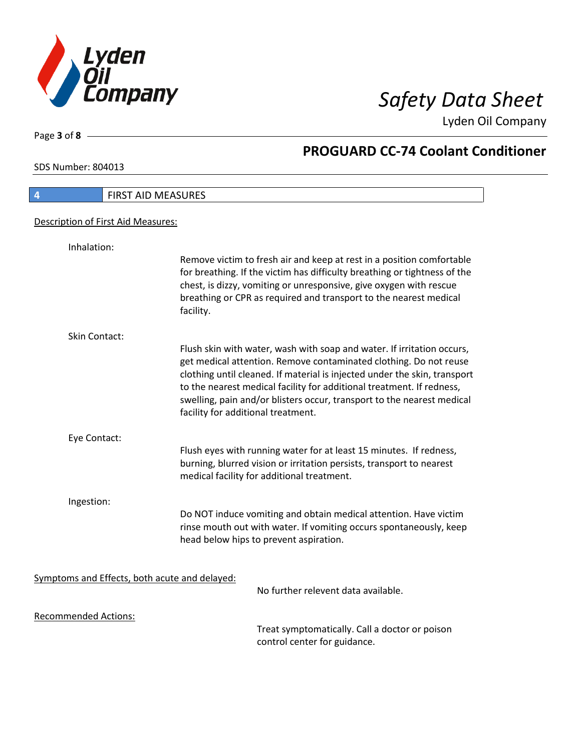

Lyden Oil Company

SDS Number: 804013

Page **3** of **8**

# **4** FIRST AID MEASURES Description of First Aid Measures: Inhalation: Remove victim to fresh air and keep at rest in a position comfortable for breathing. If the victim has difficulty breathing or tightness of the chest, is dizzy, vomiting or unresponsive, give oxygen with rescue breathing or CPR as required and transport to the nearest medical facility. Skin Contact: Flush skin with water, wash with soap and water. If irritation occurs, get medical attention. Remove contaminated clothing. Do not reuse clothing until cleaned. If material is injected under the skin, transport to the nearest medical facility for additional treatment. If redness, swelling, pain and/or blisters occur, transport to the nearest medical facility for additional treatment. Eye Contact: Flush eyes with running water for at least 15 minutes. If redness, burning, blurred vision or irritation persists, transport to nearest medical facility for additional treatment. Ingestion: Do NOT induce vomiting and obtain medical attention. Have victim rinse mouth out with water. If vomiting occurs spontaneously, keep head below hips to prevent aspiration. Symptoms and Effects, both acute and delayed: No further relevent data available. Recommended Actions:

Treat symptomatically. Call a doctor or poison control center for guidance.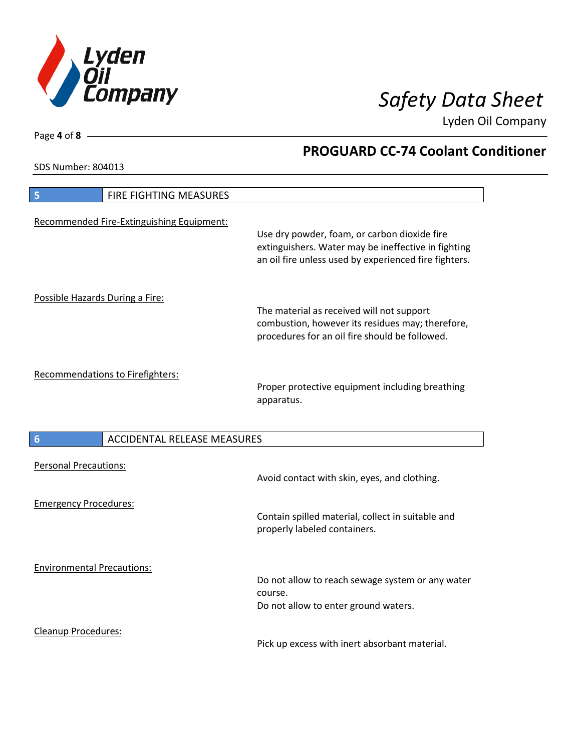

Lyden Oil Company

SDS Number: 804013

Page **4** of **8**

# **5 FIRE FIGHTING MEASURES** Recommended Fire-Extinguishing Equipment: Use dry powder, foam, or carbon dioxide fire extinguishers. Water may be ineffective in fighting an oil fire unless used by experienced fire fighters. Possible Hazards During a Fire: The material as received will not support combustion, however its residues may; therefore, procedures for an oil fire should be followed. Recommendations to Firefighters: Proper protective equipment including breathing apparatus.

| $6\phantom{1}6$                   | ACCIDENTAL RELEASE MEASURES |                                                                                                     |
|-----------------------------------|-----------------------------|-----------------------------------------------------------------------------------------------------|
| <b>Personal Precautions:</b>      |                             | Avoid contact with skin, eyes, and clothing.                                                        |
| <b>Emergency Procedures:</b>      |                             | Contain spilled material, collect in suitable and<br>properly labeled containers.                   |
| <b>Environmental Precautions:</b> |                             | Do not allow to reach sewage system or any water<br>course.<br>Do not allow to enter ground waters. |
| Cleanup Procedures:               |                             | Pick up excess with inert absorbant material.                                                       |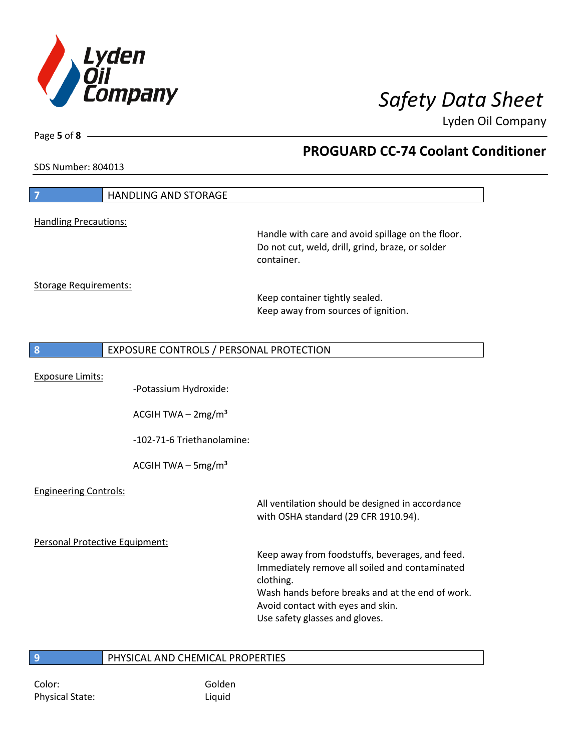

Lyden Oil Company

SDS Number: 804013

Page **5** of **8**

| 7                              | <b>HANDLING AND STORAGE</b>             |                                                                                                                                                                                                                                           |
|--------------------------------|-----------------------------------------|-------------------------------------------------------------------------------------------------------------------------------------------------------------------------------------------------------------------------------------------|
| <b>Handling Precautions:</b>   |                                         |                                                                                                                                                                                                                                           |
|                                |                                         | Handle with care and avoid spillage on the floor.<br>Do not cut, weld, drill, grind, braze, or solder<br>container.                                                                                                                       |
| <b>Storage Requirements:</b>   |                                         |                                                                                                                                                                                                                                           |
|                                |                                         | Keep container tightly sealed.<br>Keep away from sources of ignition.                                                                                                                                                                     |
| 8                              | EXPOSURE CONTROLS / PERSONAL PROTECTION |                                                                                                                                                                                                                                           |
|                                |                                         |                                                                                                                                                                                                                                           |
| <b>Exposure Limits:</b>        | -Potassium Hydroxide:                   |                                                                                                                                                                                                                                           |
|                                | ACGIH TWA $-2mg/m3$                     |                                                                                                                                                                                                                                           |
|                                | -102-71-6 Triethanolamine:              |                                                                                                                                                                                                                                           |
|                                | ACGIH TWA $-$ 5mg/m <sup>3</sup>        |                                                                                                                                                                                                                                           |
| <b>Engineering Controls:</b>   |                                         |                                                                                                                                                                                                                                           |
|                                |                                         | All ventilation should be designed in accordance<br>with OSHA standard (29 CFR 1910.94).                                                                                                                                                  |
| Personal Protective Equipment: |                                         |                                                                                                                                                                                                                                           |
|                                |                                         | Keep away from foodstuffs, beverages, and feed.<br>Immediately remove all soiled and contaminated<br>clothing.<br>Wash hands before breaks and at the end of work.<br>Avoid contact with eyes and skin.<br>Use safety glasses and gloves. |

**9** PHYSICAL AND CHEMICAL PROPERTIES

Color: Golden Physical State: Liquid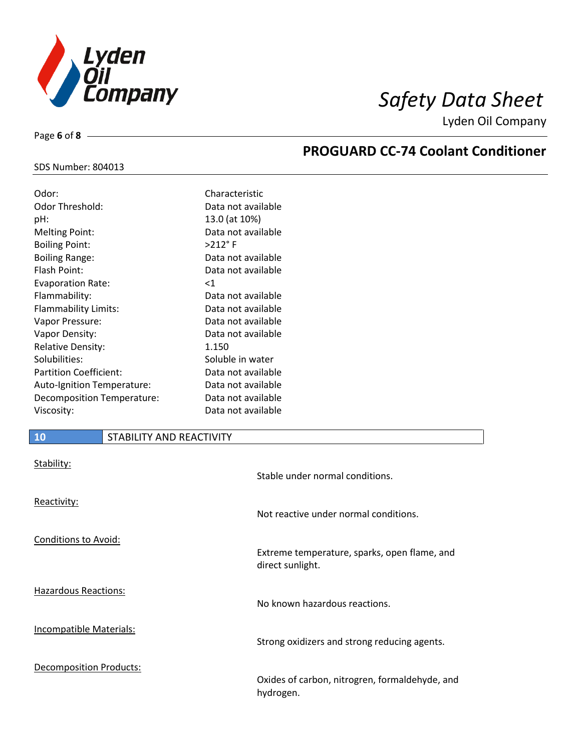

Lyden Oil Company

## SDS Number: 804013

Page **6** of **8**

| Odor:                         | Characteristic     |
|-------------------------------|--------------------|
| Odor Threshold:               | Data not available |
| pH:                           | 13.0 (at 10%)      |
| <b>Melting Point:</b>         | Data not available |
| <b>Boiling Point:</b>         | >212°F             |
| <b>Boiling Range:</b>         | Data not available |
| Flash Point:                  | Data not available |
| <b>Evaporation Rate:</b>      | $<$ 1              |
| Flammability:                 | Data not available |
| Flammability Limits:          | Data not available |
| Vapor Pressure:               | Data not available |
| Vapor Density:                | Data not available |
| <b>Relative Density:</b>      | 1.150              |
| Solubilities:                 | Soluble in water   |
| <b>Partition Coefficient:</b> | Data not available |
| Auto-Ignition Temperature:    | Data not available |
| Decomposition Temperature:    | Data not available |
| Viscosity:                    | Data not available |

## **10** STABILITY AND REACTIVITY

| Stability:                  | Stable under normal conditions.                                  |
|-----------------------------|------------------------------------------------------------------|
| Reactivity:                 | Not reactive under normal conditions.                            |
| <b>Conditions to Avoid:</b> | Extreme temperature, sparks, open flame, and<br>direct sunlight. |
| Hazardous Reactions:        | No known hazardous reactions.                                    |
| Incompatible Materials:     | Strong oxidizers and strong reducing agents.                     |
| Decomposition Products:     | Oxides of carbon, nitrogren, formaldehyde, and<br>hydrogen.      |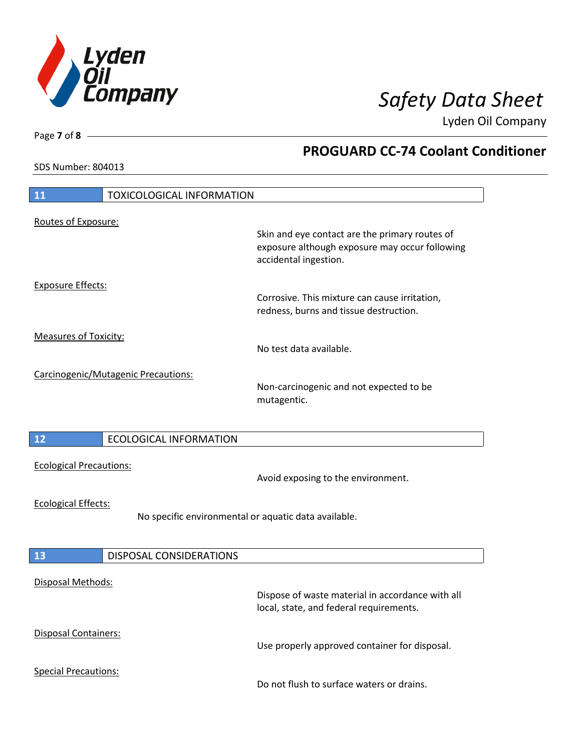

Lyden Oil Company

SDS Number: 804013

# **11** TOXICOLOGICAL INFORMATION Routes of Exposure: Skin and eye contact are the primary routes of exposure although exposure may occur following accidental ingestion. Exposure Effects: Corrosive. This mixture can cause irritation, redness, burns and tissue destruction. Measures of Toxicity: No test data available. Carcinogenic/Mutagenic Precautions: Non-carcinogenic and not expected to be mutagentic. **12** ECOLOGICAL INFORMATION Ecological Precautions: Avoid exposing to the environment. Ecological Effects: No specific environmental or aquatic data available. **13** DISPOSAL CONSIDERATIONS Disposal Methods: Dispose of waste material in accordance with all local, state, and federal requirements. Disposal Containers: Use properly approved container for disposal. Special Precautions: Do not flush to surface waters or drains.

Page **7** of **8**